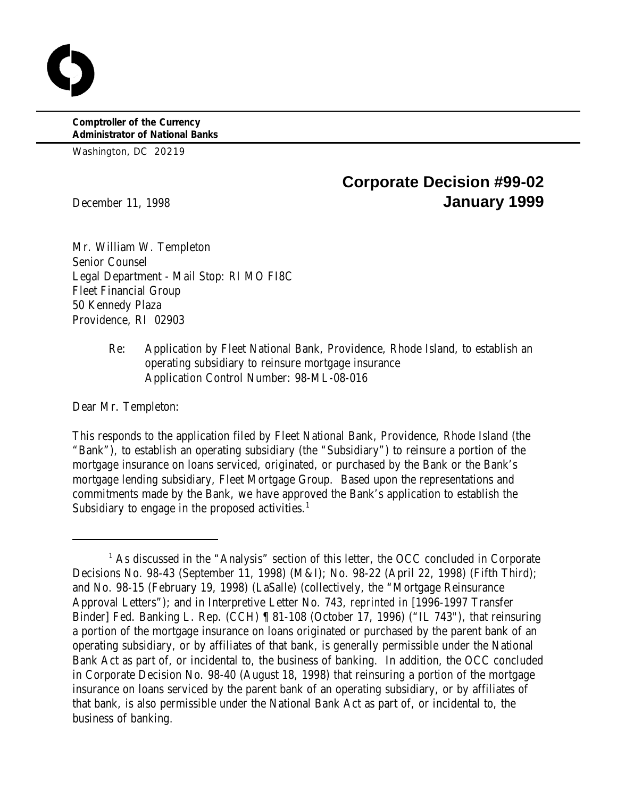**Comptroller of the Currency Administrator of National Banks**

Washington, DC 20219

# **Corporate Decision #99-02** December 11, 1998 **January 1999**

Mr. William W. Templeton Senior Counsel Legal Department - Mail Stop: RI MO FI8C Fleet Financial Group 50 Kennedy Plaza Providence, RI 02903

> Re: Application by Fleet National Bank, Providence, Rhode Island, to establish an operating subsidiary to reinsure mortgage insurance Application Control Number: 98-ML-08-016

Dear Mr. Templeton:

This responds to the application filed by Fleet National Bank, Providence, Rhode Island (the "Bank"), to establish an operating subsidiary (the "Subsidiary") to reinsure a portion of the mortgage insurance on loans serviced, originated, or purchased by the Bank or the Bank's mortgage lending subsidiary, Fleet Mortgage Group. Based upon the representations and commitments made by the Bank, we have approved the Bank's application to establish the Subsidiary to engage in the proposed activities. $1$ 

 $<sup>1</sup>$  As discussed in the "Analysis" section of this letter, the OCC concluded in Corporate</sup> Decisions No. 98-43 (September 11, 1998) (M&I); No. 98-22 (April 22, 1998) (Fifth Third); and No. 98-15 (February 19, 1998) (LaSalle) (collectively, the "Mortgage Reinsurance Approval Letters"); and in Interpretive Letter No. 743, *reprinted in* [1996-1997 Transfer Binder] Fed. Banking L. Rep. (CCH) ¶ 81-108 (October 17, 1996) ("IL 743"), that reinsuring a portion of the mortgage insurance on loans originated or purchased by the parent bank of an operating subsidiary, or by affiliates of that bank, is generally permissible under the National Bank Act as part of, or incidental to, the business of banking. In addition, the OCC concluded in Corporate Decision No. 98-40 (August 18, 1998) that reinsuring a portion of the mortgage insurance on loans serviced by the parent bank of an operating subsidiary, or by affiliates of that bank, is also permissible under the National Bank Act as part of, or incidental to, the business of banking.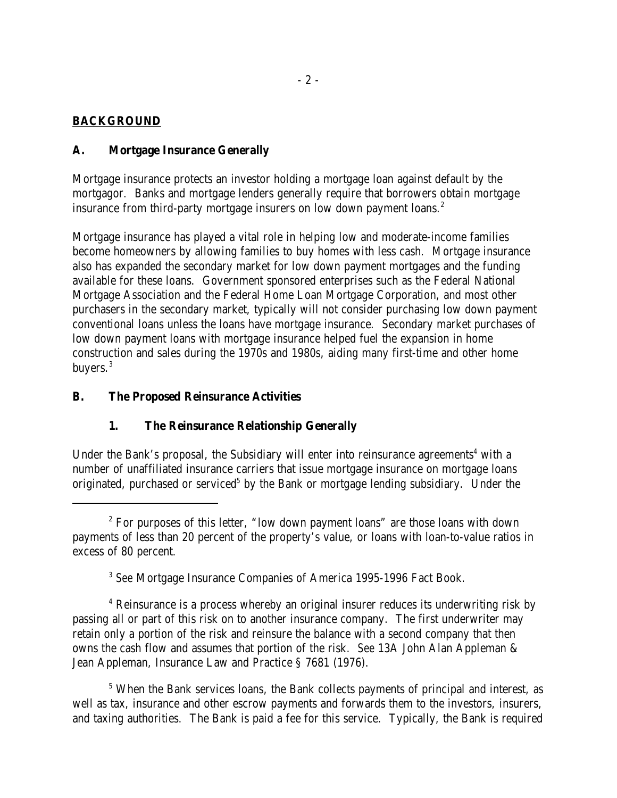# **BACKGROUND**

# **A. Mortgage Insurance Generally**

Mortgage insurance protects an investor holding a mortgage loan against default by the mortgagor. Banks and mortgage lenders generally require that borrowers obtain mortgage insurance from third-party mortgage insurers on low down payment loans.<sup>2</sup>

Mortgage insurance has played a vital role in helping low and moderate-income families become homeowners by allowing families to buy homes with less cash. Mortgage insurance also has expanded the secondary market for low down payment mortgages and the funding available for these loans. Government sponsored enterprises such as the Federal National Mortgage Association and the Federal Home Loan Mortgage Corporation, and most other purchasers in the secondary market, typically will not consider purchasing low down payment conventional loans unless the loans have mortgage insurance. Secondary market purchases of low down payment loans with mortgage insurance helped fuel the expansion in home construction and sales during the 1970s and 1980s, aiding many first-time and other home buyers.<sup>3</sup>

# **B. The Proposed Reinsurance Activities**

# **1. The Reinsurance Relationship Generally**

Under the Bank's proposal, the Subsidiary will enter into reinsurance agreements<sup>4</sup> with a number of unaffiliated insurance carriers that issue mortgage insurance on mortgage loans originated, purchased or serviced<sup>5</sup> by the Bank or mortgage lending subsidiary. Under the

<sup>3</sup> See Mortgage Insurance Companies of America 1995-1996 Fact Book.

<sup>4</sup> Reinsurance is a process whereby an original insurer reduces its underwriting risk by passing all or part of this risk on to another insurance company. The first underwriter may retain only a portion of the risk and reinsure the balance with a second company that then owns the cash flow and assumes that portion of the risk. *See* 13A John Alan Appleman & Jean Appleman, Insurance Law and Practice § 7681 (1976).

<sup>5</sup> When the Bank services loans, the Bank collects payments of principal and interest, as well as tax, insurance and other escrow payments and forwards them to the investors, insurers, and taxing authorities. The Bank is paid a fee for this service. Typically, the Bank is required

 $2^{\circ}$  For purposes of this letter, "low down payment loans" are those loans with down payments of less than 20 percent of the property's value, or loans with loan-to-value ratios in excess of 80 percent.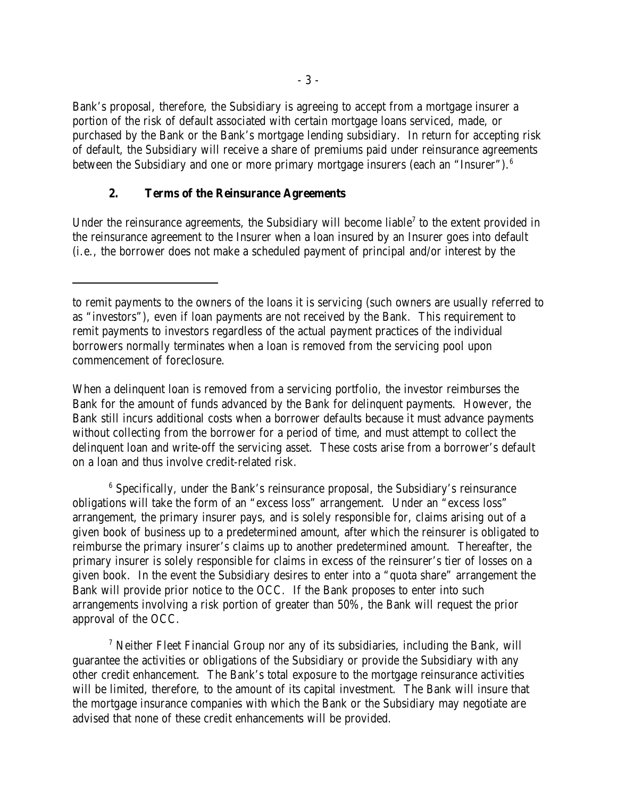Bank's proposal, therefore, the Subsidiary is agreeing to accept from a mortgage insurer a portion of the risk of default associated with certain mortgage loans serviced, made, or purchased by the Bank or the Bank's mortgage lending subsidiary. In return for accepting risk of default, the Subsidiary will receive a share of premiums paid under reinsurance agreements between the Subsidiary and one or more primary mortgage insurers (each an "Insurer").<sup>6</sup>

#### **2. Terms of the Reinsurance Agreements**

Under the reinsurance agreements, the Subsidiary will become liable<sup>7</sup> to the extent provided in the reinsurance agreement to the Insurer when a loan insured by an Insurer goes into default (i.e., the borrower does not make a scheduled payment of principal and/or interest by the

When a delinquent loan is removed from a servicing portfolio, the investor reimburses the Bank for the amount of funds advanced by the Bank for delinquent payments. However, the Bank still incurs additional costs when a borrower defaults because it must advance payments without collecting from the borrower for a period of time, and must attempt to collect the delinquent loan and write-off the servicing asset. These costs arise from a borrower's default on a loan and thus involve credit-related risk.

 $6$  Specifically, under the Bank's reinsurance proposal, the Subsidiary's reinsurance obligations will take the form of an "excess loss" arrangement. Under an "excess loss" arrangement, the primary insurer pays, and is solely responsible for, claims arising out of a given book of business up to a predetermined amount, after which the reinsurer is obligated to reimburse the primary insurer's claims up to another predetermined amount. Thereafter, the primary insurer is solely responsible for claims in excess of the reinsurer's tier of losses on a given book. In the event the Subsidiary desires to enter into a "quota share" arrangement the Bank will provide prior notice to the OCC. If the Bank proposes to enter into such arrangements involving a risk portion of greater than 50%, the Bank will request the prior approval of the OCC.

 Neither Fleet Financial Group nor any of its subsidiaries, including the Bank, will <sup>7</sup> guarantee the activities or obligations of the Subsidiary or provide the Subsidiary with any other credit enhancement. The Bank's total exposure to the mortgage reinsurance activities will be limited, therefore, to the amount of its capital investment. The Bank will insure that the mortgage insurance companies with which the Bank or the Subsidiary may negotiate are advised that none of these credit enhancements will be provided.

to remit payments to the owners of the loans it is servicing (such owners are usually referred to as "investors"), even if loan payments are not received by the Bank. This requirement to remit payments to investors regardless of the actual payment practices of the individual borrowers normally terminates when a loan is removed from the servicing pool upon commencement of foreclosure.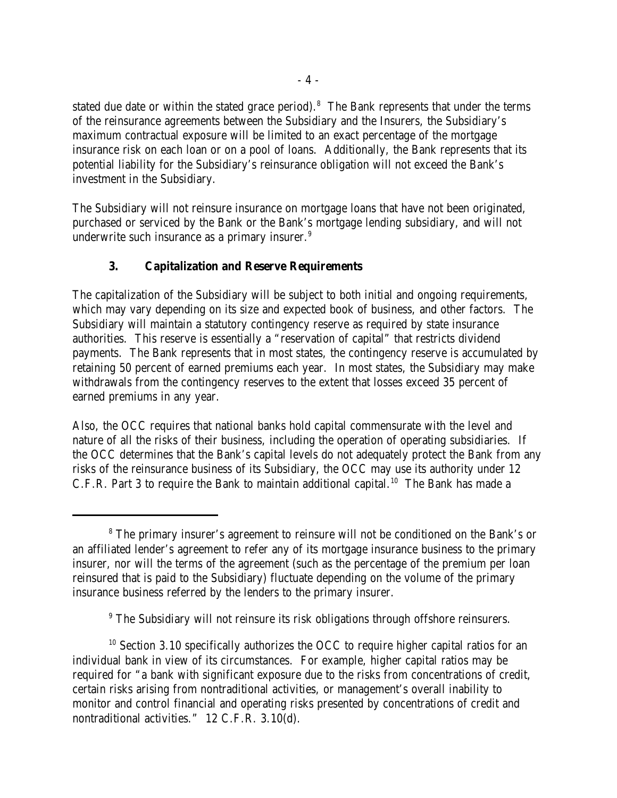stated due date or within the stated grace period). $<sup>8</sup>$  The Bank represents that under the terms</sup> of the reinsurance agreements between the Subsidiary and the Insurers, the Subsidiary's maximum contractual exposure will be limited to an exact percentage of the mortgage insurance risk on each loan or on a pool of loans. Additionally, the Bank represents that its potential liability for the Subsidiary's reinsurance obligation will not exceed the Bank's investment in the Subsidiary.

The Subsidiary will not reinsure insurance on mortgage loans that have not been originated, purchased or serviced by the Bank or the Bank's mortgage lending subsidiary, and will not underwrite such insurance as a primary insurer.<sup>9</sup>

# **3. Capitalization and Reserve Requirements**

The capitalization of the Subsidiary will be subject to both initial and ongoing requirements, which may vary depending on its size and expected book of business, and other factors. The Subsidiary will maintain a statutory contingency reserve as required by state insurance authorities. This reserve is essentially a "reservation of capital" that restricts dividend payments. The Bank represents that in most states, the contingency reserve is accumulated by retaining 50 percent of earned premiums each year. In most states, the Subsidiary may make withdrawals from the contingency reserves to the extent that losses exceed 35 percent of earned premiums in any year.

Also, the OCC requires that national banks hold capital commensurate with the level and nature of all the risks of their business, including the operation of operating subsidiaries. If the OCC determines that the Bank's capital levels do not adequately protect the Bank from any risks of the reinsurance business of its Subsidiary, the OCC may use its authority under 12 C.F.R. Part 3 to require the Bank to maintain additional capital.<sup>10</sup> The Bank has made a

<sup>&</sup>lt;sup>8</sup> The primary insurer's agreement to reinsure will not be conditioned on the Bank's or an affiliated lender's agreement to refer any of its mortgage insurance business to the primary insurer, nor will the terms of the agreement (such as the percentage of the premium per loan reinsured that is paid to the Subsidiary) fluctuate depending on the volume of the primary insurance business referred by the lenders to the primary insurer.

<sup>&</sup>lt;sup>9</sup> The Subsidiary will not reinsure its risk obligations through offshore reinsurers.

 $10$  Section 3.10 specifically authorizes the OCC to require higher capital ratios for an individual bank in view of its circumstances. For example, higher capital ratios may be required for "a bank with significant exposure due to the risks from concentrations of credit, certain risks arising from nontraditional activities, or management's overall inability to monitor and control financial and operating risks presented by concentrations of credit and nontraditional activities." 12 C.F.R. 3.10(d).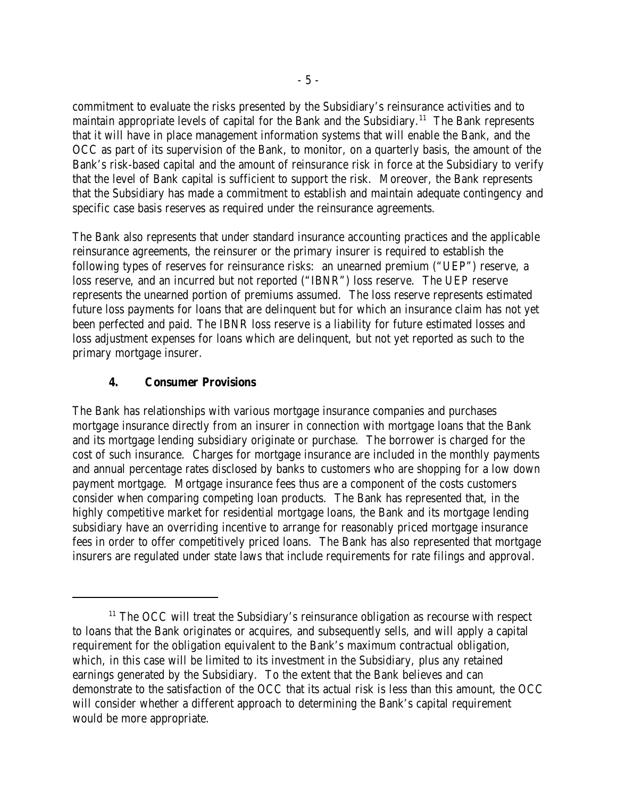commitment to evaluate the risks presented by the Subsidiary's reinsurance activities and to maintain appropriate levels of capital for the Bank and the Subsidiary.<sup>11</sup> The Bank represents that it will have in place management information systems that will enable the Bank, and the OCC as part of its supervision of the Bank, to monitor, on a quarterly basis, the amount of the Bank's risk-based capital and the amount of reinsurance risk in force at the Subsidiary to verify that the level of Bank capital is sufficient to support the risk. Moreover, the Bank represents that the Subsidiary has made a commitment to establish and maintain adequate contingency and specific case basis reserves as required under the reinsurance agreements.

The Bank also represents that under standard insurance accounting practices and the applicable reinsurance agreements, the reinsurer or the primary insurer is required to establish the following types of reserves for reinsurance risks: an unearned premium ("UEP") reserve, a loss reserve, and an incurred but not reported ("IBNR") loss reserve. The UEP reserve represents the unearned portion of premiums assumed. The loss reserve represents estimated future loss payments for loans that are delinquent but for which an insurance claim has not yet been perfected and paid. The IBNR loss reserve is a liability for future estimated losses and loss adjustment expenses for loans which are delinquent, but not yet reported as such to the primary mortgage insurer.

# **4. Consumer Provisions**

The Bank has relationships with various mortgage insurance companies and purchases mortgage insurance directly from an insurer in connection with mortgage loans that the Bank and its mortgage lending subsidiary originate or purchase. The borrower is charged for the cost of such insurance. Charges for mortgage insurance are included in the monthly payments and annual percentage rates disclosed by banks to customers who are shopping for a low down payment mortgage. Mortgage insurance fees thus are a component of the costs customers consider when comparing competing loan products. The Bank has represented that, in the highly competitive market for residential mortgage loans, the Bank and its mortgage lending subsidiary have an overriding incentive to arrange for reasonably priced mortgage insurance fees in order to offer competitively priced loans. The Bank has also represented that mortgage insurers are regulated under state laws that include requirements for rate filings and approval.

 $11$  The OCC will treat the Subsidiary's reinsurance obligation as recourse with respect to loans that the Bank originates or acquires, and subsequently sells, and will apply a capital requirement for the obligation equivalent to the Bank's maximum contractual obligation, which, in this case will be limited to its investment in the Subsidiary, plus any retained earnings generated by the Subsidiary. To the extent that the Bank believes and can demonstrate to the satisfaction of the OCC that its actual risk is less than this amount, the OCC will consider whether a different approach to determining the Bank's capital requirement would be more appropriate.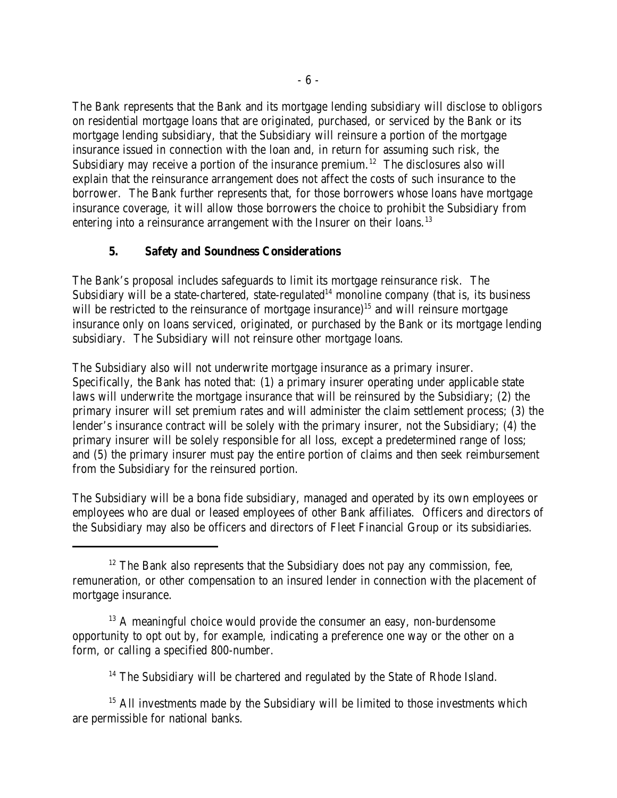The Bank represents that the Bank and its mortgage lending subsidiary will disclose to obligors on residential mortgage loans that are originated, purchased, or serviced by the Bank or its mortgage lending subsidiary, that the Subsidiary will reinsure a portion of the mortgage insurance issued in connection with the loan and, in return for assuming such risk, the Subsidiary may receive a portion of the insurance premium.<sup>12</sup> The disclosures also will explain that the reinsurance arrangement does not affect the costs of such insurance to the borrower. The Bank further represents that, for those borrowers whose loans have mortgage insurance coverage, it will allow those borrowers the choice to prohibit the Subsidiary from entering into a reinsurance arrangement with the Insurer on their loans.<sup>13</sup>

# **5. Safety and Soundness Considerations**

The Bank's proposal includes safeguards to limit its mortgage reinsurance risk. The Subsidiary will be a state-chartered, state-regulated<sup>14</sup> monoline company (that is, its business will be restricted to the reinsurance of mortgage insurance)<sup>15</sup> and will reinsure mortgage insurance only on loans serviced, originated, or purchased by the Bank or its mortgage lending subsidiary. The Subsidiary will not reinsure other mortgage loans.

The Subsidiary also will not underwrite mortgage insurance as a primary insurer. Specifically, the Bank has noted that: (1) a primary insurer operating under applicable state laws will underwrite the mortgage insurance that will be reinsured by the Subsidiary; (2) the primary insurer will set premium rates and will administer the claim settlement process; (3) the lender's insurance contract will be solely with the primary insurer, not the Subsidiary; (4) the primary insurer will be solely responsible for all loss, except a predetermined range of loss; and (5) the primary insurer must pay the entire portion of claims and then seek reimbursement from the Subsidiary for the reinsured portion.

The Subsidiary will be a bona fide subsidiary, managed and operated by its own employees or employees who are dual or leased employees of other Bank affiliates. Officers and directors of the Subsidiary may also be officers and directors of Fleet Financial Group or its subsidiaries.

 $13$  A meaningful choice would provide the consumer an easy, non-burdensome opportunity to opt out by, for example, indicating a preference one way or the other on a form, or calling a specified 800-number.

 $14$  The Subsidiary will be chartered and regulated by the State of Rhode Island.

 $15$  All investments made by the Subsidiary will be limited to those investments which are permissible for national banks.

 $12$  The Bank also represents that the Subsidiary does not pay any commission, fee, remuneration, or other compensation to an insured lender in connection with the placement of mortgage insurance.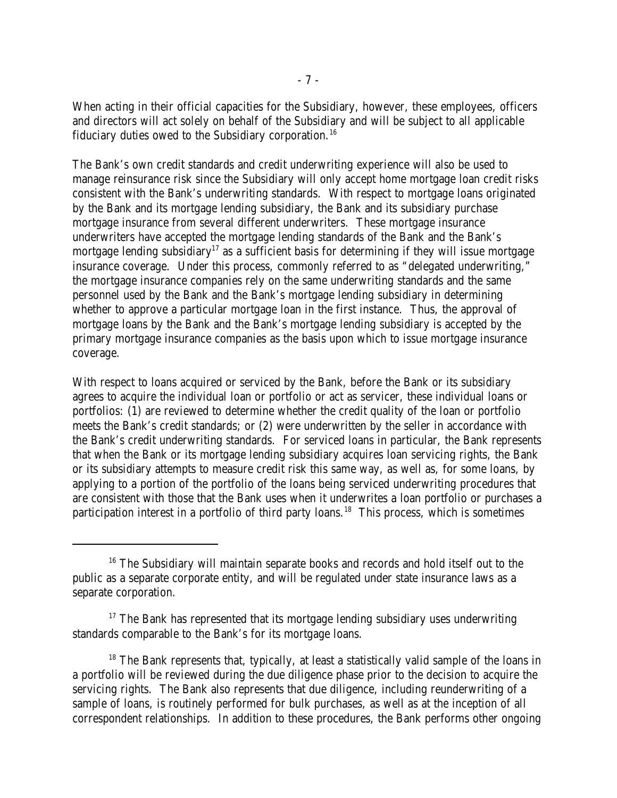When acting in their official capacities for the Subsidiary, however, these employees, officers and directors will act solely on behalf of the Subsidiary and will be subject to all applicable fiduciary duties owed to the Subsidiary corporation.<sup>16</sup>

The Bank's own credit standards and credit underwriting experience will also be used to manage reinsurance risk since the Subsidiary will only accept home mortgage loan credit risks consistent with the Bank's underwriting standards. With respect to mortgage loans originated by the Bank and its mortgage lending subsidiary, the Bank and its subsidiary purchase mortgage insurance from several different underwriters. These mortgage insurance underwriters have accepted the mortgage lending standards of the Bank and the Bank's mortgage lending subsidiary<sup>17</sup> as a sufficient basis for determining if they will issue mortgage insurance coverage. Under this process, commonly referred to as "delegated underwriting," the mortgage insurance companies rely on the same underwriting standards and the same personnel used by the Bank and the Bank's mortgage lending subsidiary in determining whether to approve a particular mortgage loan in the first instance. Thus, the approval of mortgage loans by the Bank and the Bank's mortgage lending subsidiary is accepted by the primary mortgage insurance companies as the basis upon which to issue mortgage insurance coverage.

With respect to loans acquired or serviced by the Bank, before the Bank or its subsidiary agrees to acquire the individual loan or portfolio or act as servicer, these individual loans or portfolios: (1) are reviewed to determine whether the credit quality of the loan or portfolio meets the Bank's credit standards; or (2) were underwritten by the seller in accordance with the Bank's credit underwriting standards. For serviced loans in particular, the Bank represents that when the Bank or its mortgage lending subsidiary acquires loan servicing rights, the Bank or its subsidiary attempts to measure credit risk this same way, as well as, for some loans, by applying to a portion of the portfolio of the loans being serviced underwriting procedures that are consistent with those that the Bank uses when it underwrites a loan portfolio or purchases a participation interest in a portfolio of third party loans.<sup>18</sup> This process, which is sometimes

 $16$  The Subsidiary will maintain separate books and records and hold itself out to the public as a separate corporate entity, and will be regulated under state insurance laws as a separate corporation.

 $17$  The Bank has represented that its mortgage lending subsidiary uses underwriting standards comparable to the Bank's for its mortgage loans.

 $18$  The Bank represents that, typically, at least a statistically valid sample of the loans in a portfolio will be reviewed during the due diligence phase prior to the decision to acquire the servicing rights. The Bank also represents that due diligence, including reunderwriting of a sample of loans, is routinely performed for bulk purchases, as well as at the inception of all correspondent relationships. In addition to these procedures, the Bank performs other ongoing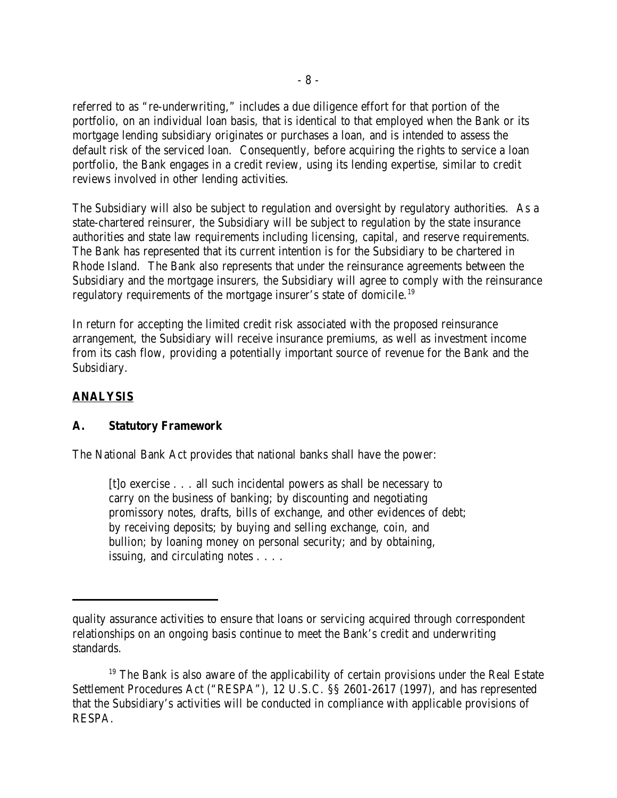referred to as "re-underwriting," includes a due diligence effort for that portion of the portfolio, on an individual loan basis, that is identical to that employed when the Bank or its mortgage lending subsidiary originates or purchases a loan, and is intended to assess the default risk of the serviced loan. Consequently, before acquiring the rights to service a loan portfolio, the Bank engages in a credit review, using its lending expertise, similar to credit reviews involved in other lending activities.

The Subsidiary will also be subject to regulation and oversight by regulatory authorities. As a state-chartered reinsurer, the Subsidiary will be subject to regulation by the state insurance authorities and state law requirements including licensing, capital, and reserve requirements. The Bank has represented that its current intention is for the Subsidiary to be chartered in Rhode Island. The Bank also represents that under the reinsurance agreements between the Subsidiary and the mortgage insurers, the Subsidiary will agree to comply with the reinsurance regulatory requirements of the mortgage insurer's state of domicile.<sup>19</sup>

In return for accepting the limited credit risk associated with the proposed reinsurance arrangement, the Subsidiary will receive insurance premiums, as well as investment income from its cash flow, providing a potentially important source of revenue for the Bank and the Subsidiary.

# **ANALYSIS**

## **A. Statutory Framework**

The National Bank Act provides that national banks shall have the power:

[t]o exercise . . . all such incidental powers as shall be necessary to carry on the business of banking; by discounting and negotiating promissory notes, drafts, bills of exchange, and other evidences of debt; by receiving deposits; by buying and selling exchange, coin, and bullion; by loaning money on personal security; and by obtaining, issuing, and circulating notes . . . .

quality assurance activities to ensure that loans or servicing acquired through correspondent relationships on an ongoing basis continue to meet the Bank's credit and underwriting standards.

 $19$  The Bank is also aware of the applicability of certain provisions under the Real Estate Settlement Procedures Act ("RESPA"), 12 U.S.C. §§ 2601-2617 (1997), and has represented that the Subsidiary's activities will be conducted in compliance with applicable provisions of RESPA.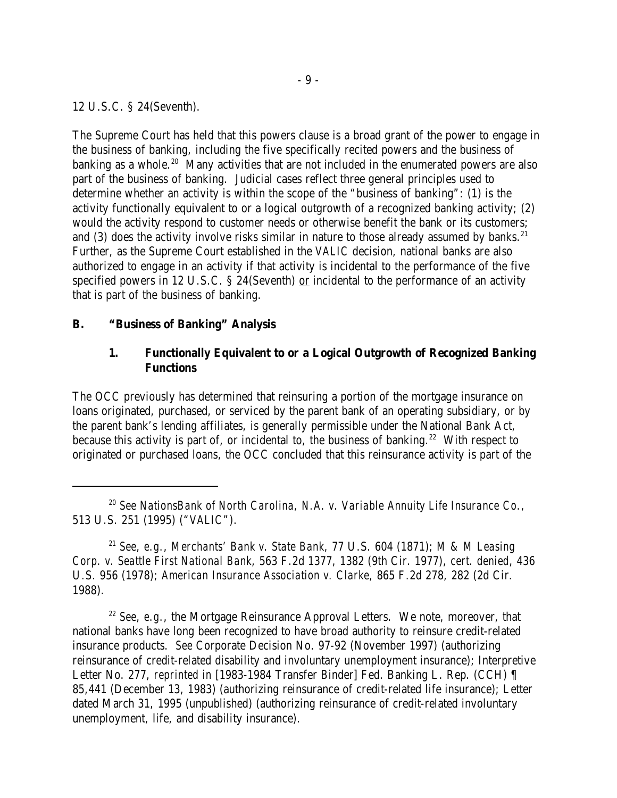12 U.S.C. § 24(Seventh).

The Supreme Court has held that this powers clause is a broad grant of the power to engage in the business of banking, including the five specifically recited powers and the business of banking as a whole.<sup>20</sup> Many activities that are not included in the enumerated powers are also part of the business of banking. Judicial cases reflect three general principles used to determine whether an activity is within the scope of the "business of banking": (1) is the activity functionally equivalent to or a logical outgrowth of a recognized banking activity; (2) would the activity respond to customer needs or otherwise benefit the bank or its customers; and (3) does the activity involve risks similar in nature to those already assumed by banks.<sup>21</sup> Further, as the Supreme Court established in the *VALIC* decision, national banks are also authorized to engage in an activity if that activity is incidental to the performance of the five specified powers in 12 U.S.C. § 24(Seventh) or incidental to the performance of an activity that is part of the business of banking.

## **B. "Business of Banking" Analysis**

#### **1. Functionally Equivalent to or a Logical Outgrowth of Recognized Banking Functions**

The OCC previously has determined that reinsuring a portion of the mortgage insurance on loans originated, purchased, or serviced by the parent bank of an operating subsidiary, or by the parent bank's lending affiliates, is generally permissible under the National Bank Act, because this activity is part of, or incidental to, the business of banking.<sup>22</sup> With respect to originated or purchased loans, the OCC concluded that this reinsurance activity is part of the

<sup>21</sup> See, e.g., Merchants' Bank v. State Bank, 77 U.S. 604 (1871); *M & M Leasing Corp. v. Seattle First National Bank*, 563 F.2d 1377, 1382 (9th Cir. 1977), *cert. denied*, 436 U.S. 956 (1978); *American Insurance Association v. Clarke*, 865 F.2d 278, 282 (2d Cir. 1988).

<sup>22</sup> See, e.g., the Mortgage Reinsurance Approval Letters. We note, moreover, that national banks have long been recognized to have broad authority to reinsure credit-related insurance products. *See* Corporate Decision No. 97-92 (November 1997) (authorizing reinsurance of credit-related disability and involuntary unemployment insurance); Interpretive Letter No. 277, *reprinted in* [1983-1984 Transfer Binder] Fed. Banking L. Rep. (CCH) ¶ 85,441 (December 13, 1983) (authorizing reinsurance of credit-related life insurance); Letter dated March 31, 1995 (unpublished) (authorizing reinsurance of credit-related involuntary unemployment, life, and disability insurance).

*See NationsBank of North Carolina, N.A. v. Variable Annuity Life Insurance Co.*, 20 513 U.S. 251 (1995) ("*VALIC*").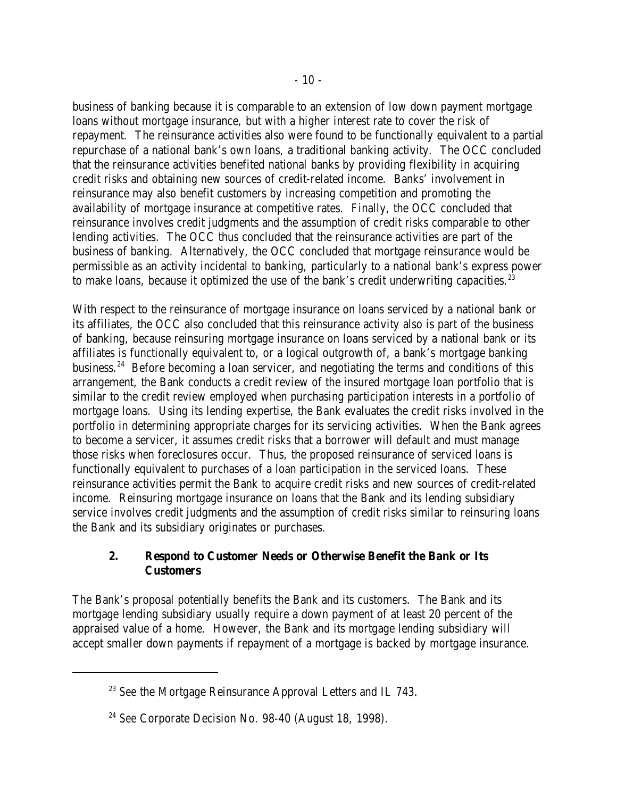business of banking because it is comparable to an extension of low down payment mortgage loans without mortgage insurance, but with a higher interest rate to cover the risk of repayment. The reinsurance activities also were found to be functionally equivalent to a partial repurchase of a national bank's own loans, a traditional banking activity. The OCC concluded that the reinsurance activities benefited national banks by providing flexibility in acquiring credit risks and obtaining new sources of credit-related income. Banks' involvement in reinsurance may also benefit customers by increasing competition and promoting the availability of mortgage insurance at competitive rates. Finally, the OCC concluded that reinsurance involves credit judgments and the assumption of credit risks comparable to other lending activities. The OCC thus concluded that the reinsurance activities are part of the business of banking. Alternatively, the OCC concluded that mortgage reinsurance would be permissible as an activity incidental to banking, particularly to a national bank's express power to make loans, because it optimized the use of the bank's credit underwriting capacities. $23$ 

With respect to the reinsurance of mortgage insurance on loans serviced by a national bank or its affiliates, the OCC also concluded that this reinsurance activity also is part of the business of banking, because reinsuring mortgage insurance on loans serviced by a national bank or its affiliates is functionally equivalent to, or a logical outgrowth of, a bank's mortgage banking business.  $24$  Before becoming a loan servicer, and negotiating the terms and conditions of this arrangement, the Bank conducts a credit review of the insured mortgage loan portfolio that is similar to the credit review employed when purchasing participation interests in a portfolio of mortgage loans. Using its lending expertise, the Bank evaluates the credit risks involved in the portfolio in determining appropriate charges for its servicing activities. When the Bank agrees to become a servicer, it assumes credit risks that a borrower will default and must manage those risks when foreclosures occur. Thus, the proposed reinsurance of serviced loans is functionally equivalent to purchases of a loan participation in the serviced loans. These reinsurance activities permit the Bank to acquire credit risks and new sources of credit-related income. Reinsuring mortgage insurance on loans that the Bank and its lending subsidiary service involves credit judgments and the assumption of credit risks similar to reinsuring loans the Bank and its subsidiary originates or purchases.

# **2. Respond to Customer Needs or Otherwise Benefit the Bank or Its Customers**

The Bank's proposal potentially benefits the Bank and its customers. The Bank and its mortgage lending subsidiary usually require a down payment of at least 20 percent of the appraised value of a home. However, the Bank and its mortgage lending subsidiary will accept smaller down payments if repayment of a mortgage is backed by mortgage insurance.

<sup>&</sup>lt;sup>23</sup> See the Mortgage Reinsurance Approval Letters and IL 743.

<sup>&</sup>lt;sup>24</sup> See Corporate Decision No. 98-40 (August 18, 1998).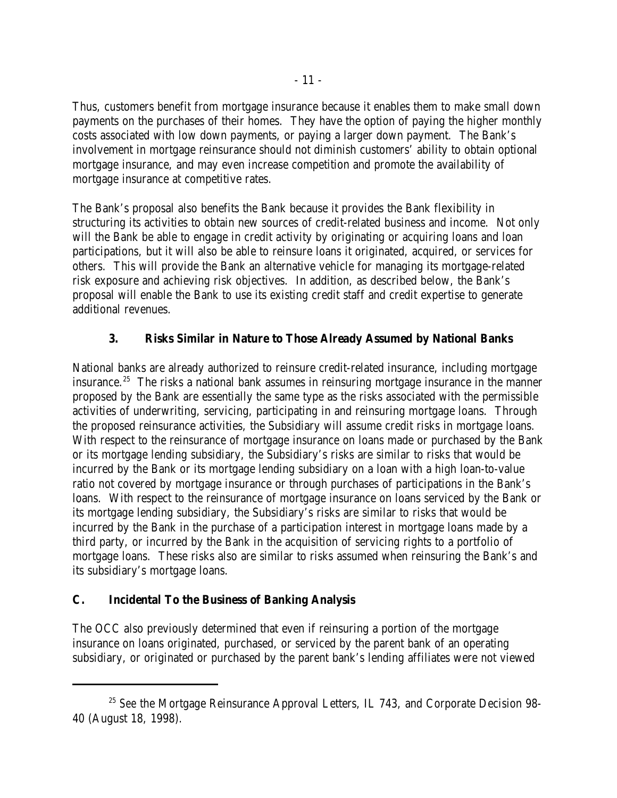Thus, customers benefit from mortgage insurance because it enables them to make small down payments on the purchases of their homes. They have the option of paying the higher monthly costs associated with low down payments, or paying a larger down payment. The Bank's involvement in mortgage reinsurance should not diminish customers' ability to obtain optional mortgage insurance, and may even increase competition and promote the availability of mortgage insurance at competitive rates.

The Bank's proposal also benefits the Bank because it provides the Bank flexibility in structuring its activities to obtain new sources of credit-related business and income. Not only will the Bank be able to engage in credit activity by originating or acquiring loans and loan participations, but it will also be able to reinsure loans it originated, acquired, or services for others. This will provide the Bank an alternative vehicle for managing its mortgage-related risk exposure and achieving risk objectives. In addition, as described below, the Bank's proposal will enable the Bank to use its existing credit staff and credit expertise to generate additional revenues.

# **3. Risks Similar in Nature to Those Already Assumed by National Banks**

National banks are already authorized to reinsure credit-related insurance, including mortgage insurance.<sup>25</sup> The risks a national bank assumes in reinsuring mortgage insurance in the manner proposed by the Bank are essentially the same type as the risks associated with the permissible activities of underwriting, servicing, participating in and reinsuring mortgage loans. Through the proposed reinsurance activities, the Subsidiary will assume credit risks in mortgage loans. With respect to the reinsurance of mortgage insurance on loans made or purchased by the Bank or its mortgage lending subsidiary, the Subsidiary's risks are similar to risks that would be incurred by the Bank or its mortgage lending subsidiary on a loan with a high loan-to-value ratio not covered by mortgage insurance or through purchases of participations in the Bank's loans. With respect to the reinsurance of mortgage insurance on loans serviced by the Bank or its mortgage lending subsidiary, the Subsidiary's risks are similar to risks that would be incurred by the Bank in the purchase of a participation interest in mortgage loans made by a third party, or incurred by the Bank in the acquisition of servicing rights to a portfolio of mortgage loans. These risks also are similar to risks assumed when reinsuring the Bank's and its subsidiary's mortgage loans.

## **C. Incidental To the Business of Banking Analysis**

The OCC also previously determined that even if reinsuring a portion of the mortgage insurance on loans originated, purchased, or serviced by the parent bank of an operating subsidiary, or originated or purchased by the parent bank's lending affiliates were not viewed

<sup>&</sup>lt;sup>25</sup> See the Mortgage Reinsurance Approval Letters, IL 743, and Corporate Decision 98-40 (August 18, 1998).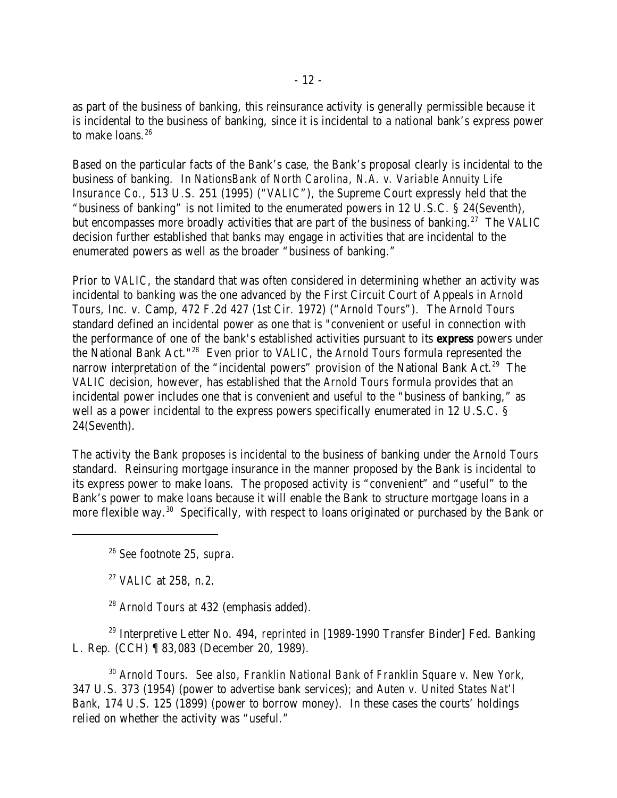as part of the business of banking, this reinsurance activity is generally permissible because it is incidental to the business of banking, since it is incidental to a national bank's express power to make loans. 26

Based on the particular facts of the Bank's case, the Bank's proposal clearly is incidental to the business of banking. In *NationsBank of North Carolina, N.A. v. Variable Annuity Life Insurance Co.*, 513 U.S. 251 (1995) ("*VALIC*"), the Supreme Court expressly held that the "business of banking" is not limited to the enumerated powers in 12 U.S.C. § 24(Seventh), but encompasses more broadly activities that are part of the business of banking.<sup>27</sup> The *VALIC* decision further established that banks may engage in activities that are incidental to the enumerated powers as well as the broader "business of banking."

Prior to *VALIC*, the standard that was often considered in determining whether an activity was incidental to banking was the one advanced by the First Circuit Court of Appeals in *Arnold Tours*, Inc. v. Camp, 472 F.2d 427 (1st Cir. 1972) ("*Arnold Tours*"). The *Arnold Tours* standard defined an incidental power as one that is "convenient or useful in connection with the performance of one of the bank's established activities pursuant to its *express* powers under the National Bank Act."<sup>28</sup> Even prior to *VALIC*, the *Arnold Tours* formula represented the narrow interpretation of the "incidental powers" provision of the National Bank Act.<sup>29</sup> The *VALIC* decision, however, has established that the *Arnold Tours* formula provides that an incidental power includes one that is convenient and useful to the "business of banking," as well as a power incidental to the express powers specifically enumerated in 12 U.S.C. § 24(Seventh).

The activity the Bank proposes is incidental to the business of banking under the *Arnold Tours* standard. Reinsuring mortgage insurance in the manner proposed by the Bank is incidental to its express power to make loans. The proposed activity is "convenient" and "useful" to the Bank's power to make loans because it will enable the Bank to structure mortgage loans in a more flexible way.<sup>30</sup> Specifically, with respect to loans originated or purchased by the Bank or

*See* footnote 25, *supra*. 26

<sup>27</sup> *VALIC* at 258, n.2.

<sup>28</sup> Arnold Tours at 432 (emphasis added).

<sup>29</sup> Interpretive Letter No. 494, *reprinted in* [1989-1990 Transfer Binder] Fed. Banking L. Rep. (CCH) ¶ 83,083 (December 20, 1989).

*Arnold Tours. See also*, *Franklin National Bank of Franklin Square v. New York*, 30 347 U.S. 373 (1954) (power to advertise bank services); and *Auten v. United States Nat'l Bank*, 174 U.S. 125 (1899) (power to borrow money). In these cases the courts' holdings relied on whether the activity was "useful."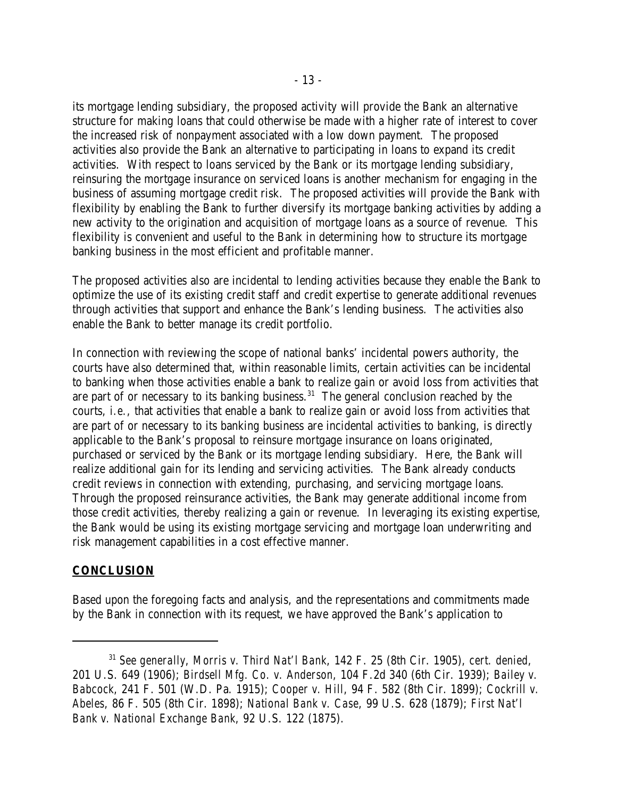its mortgage lending subsidiary, the proposed activity will provide the Bank an alternative structure for making loans that could otherwise be made with a higher rate of interest to cover the increased risk of nonpayment associated with a low down payment. The proposed activities also provide the Bank an alternative to participating in loans to expand its credit activities. With respect to loans serviced by the Bank or its mortgage lending subsidiary, reinsuring the mortgage insurance on serviced loans is another mechanism for engaging in the business of assuming mortgage credit risk. The proposed activities will provide the Bank with flexibility by enabling the Bank to further diversify its mortgage banking activities by adding a new activity to the origination and acquisition of mortgage loans as a source of revenue. This flexibility is convenient and useful to the Bank in determining how to structure its mortgage banking business in the most efficient and profitable manner.

The proposed activities also are incidental to lending activities because they enable the Bank to optimize the use of its existing credit staff and credit expertise to generate additional revenues through activities that support and enhance the Bank's lending business. The activities also enable the Bank to better manage its credit portfolio.

In connection with reviewing the scope of national banks' incidental powers authority, the courts have also determined that, within reasonable limits, certain activities can be incidental to banking when those activities enable a bank to realize gain or avoid loss from activities that are part of or necessary to its banking business.<sup>31</sup> The general conclusion reached by the courts, *i.e.*, that activities that enable a bank to realize gain or avoid loss from activities that are part of or necessary to its banking business are incidental activities to banking, is directly applicable to the Bank's proposal to reinsure mortgage insurance on loans originated, purchased or serviced by the Bank or its mortgage lending subsidiary. Here, the Bank will realize additional gain for its lending and servicing activities. The Bank already conducts credit reviews in connection with extending, purchasing, and servicing mortgage loans. Through the proposed reinsurance activities, the Bank may generate additional income from those credit activities, thereby realizing a gain or revenue. In leveraging its existing expertise, the Bank would be using its existing mortgage servicing and mortgage loan underwriting and risk management capabilities in a cost effective manner.

## **CONCLUSION**

Based upon the foregoing facts and analysis, and the representations and commitments made by the Bank in connection with its request, we have approved the Bank's application to

*See generally*, *Morris v. Third Nat'l Bank*, 142 F. 25 (8th Cir. 1905), *cert. denied*, 31 201 U.S. 649 (1906); *Birdsell Mfg. Co. v. Anderson*, 104 F.2d 340 (6th Cir. 1939); *Bailey v. Babcock*, 241 F. 501 (W.D. Pa. 1915); *Cooper v. Hill*, 94 F. 582 (8th Cir. 1899); *Cockrill v. Abeles*, 86 F. 505 (8th Cir. 1898); *National Bank v. Case*, 99 U.S. 628 (1879); *First Nat'l Bank v. National Exchange Bank*, 92 U.S. 122 (1875).